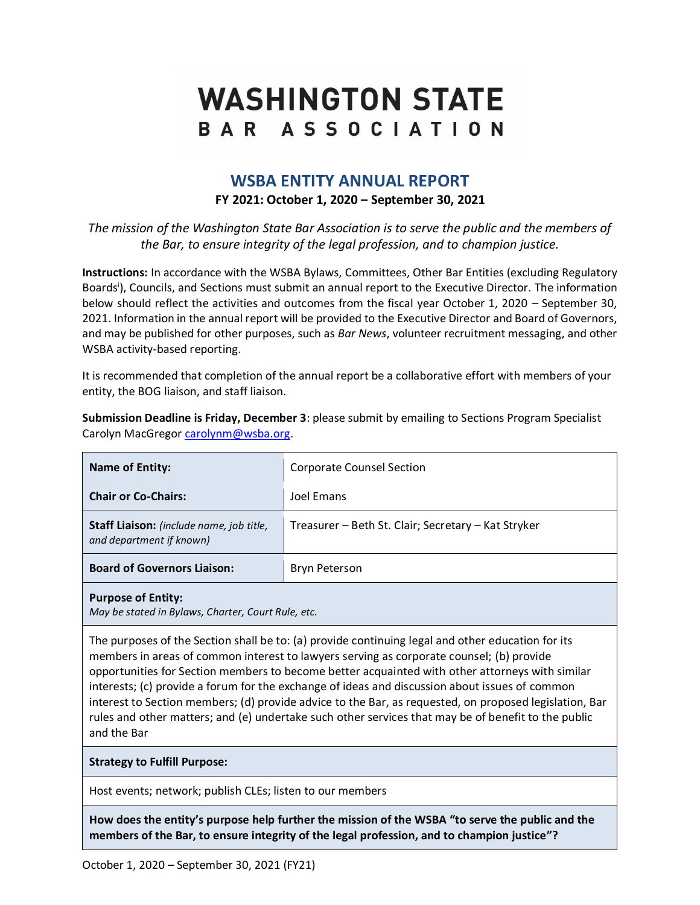# **WASHINGTON STATE** BAR ASSOCIATION

# **WSBA ENTITY ANNUAL REPORT FY 2021: October 1, 2020 – September 30, 2021**

*The mission of the Washington State Bar Association is to serve the public and the members of the Bar, to ensure integrity of the legal profession, and to champion justice.*

**Instructions:** In accordance with the WSBA Bylaws, Committees, Other Bar Entities (excluding Regulatory Boards<sup>i</sup>), Councils, and Sections must submit an annual report to the Executive Director. The information below should reflect the activities and outcomes from the fiscal year October 1, 2020 – September 30, 2021. Information in the annual report will be provided to the Executive Director and Board of Governors, and may be published for other purposes, such as *Bar News*, volunteer recruitment messaging, and other WSBA activity-based reporting.

It is recommended that completion of the annual report be a collaborative effort with members of your entity, the BOG liaison, and staff liaison.

**Submission Deadline is Friday, December 3**: please submit by emailing to Sections Program Specialist Carolyn MacGregor [carolynm@wsba.org.](mailto:carolynm@wsba.org)

| <b>Name of Entity:</b>                                                            | <b>Corporate Counsel Section</b>                    |  |  |  |
|-----------------------------------------------------------------------------------|-----------------------------------------------------|--|--|--|
| <b>Chair or Co-Chairs:</b>                                                        | Joel Emans                                          |  |  |  |
| Staff Liaison: (include name, job title,<br>and department if known)              | Treasurer – Beth St. Clair; Secretary – Kat Stryker |  |  |  |
| <b>Board of Governors Liaison:</b>                                                | Bryn Peterson                                       |  |  |  |
| <b>Purpose of Entity:</b><br>A Laurelia atacted in Dulause Chauter Count Dule ata |                                                     |  |  |  |

*May be stated in Bylaws, Charter, Court Rule, etc.*

The purposes of the Section shall be to: (a) provide continuing legal and other education for its members in areas of common interest to lawyers serving as corporate counsel; (b) provide opportunities for Section members to become better acquainted with other attorneys with similar interests; (c) provide a forum for the exchange of ideas and discussion about issues of common interest to Section members; (d) provide advice to the Bar, as requested, on proposed legislation, Bar rules and other matters; and (e) undertake such other services that may be of benefit to the public and the Bar

#### **Strategy to Fulfill Purpose:**

Host events; network; publish CLEs; listen to our members

**How does the entity's purpose help further the mission of the WSBA "to serve the public and the members of the Bar, to ensure integrity of the legal profession, and to champion justice"?**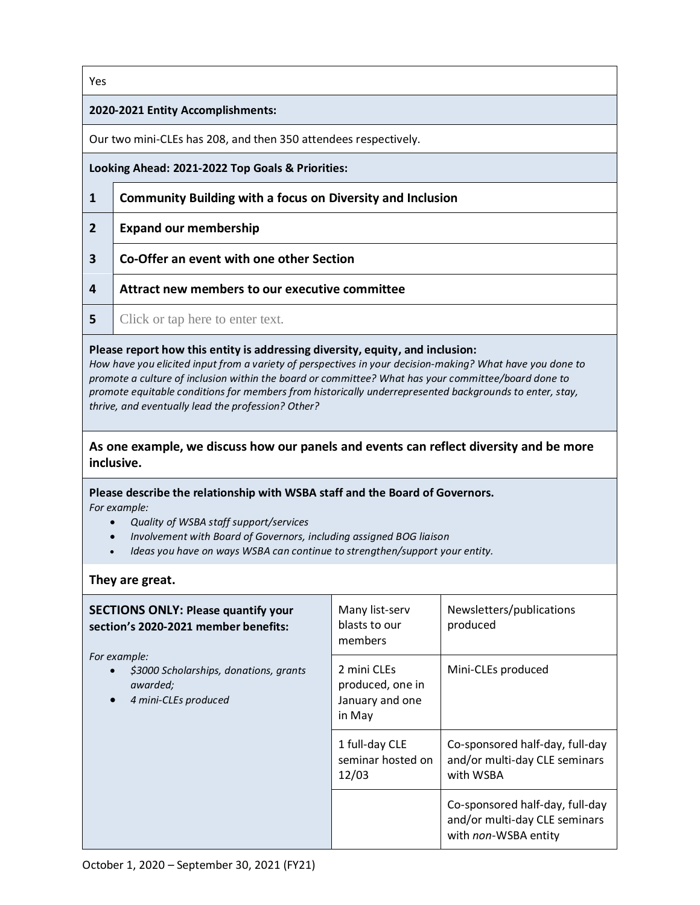#### Yes

#### **2020-2021 Entity Accomplishments:**

Our two mini-CLEs has 208, and then 350 attendees respectively.

**Looking Ahead: 2021-2022 Top Goals & Priorities:**

- **1 Community Building with a focus on Diversity and Inclusion**
- **2 Expand our membership**
- **3 Co-Offer an event with one other Section**
- **4 Attract new members to our executive committee**
- **5** Click or tap here to enter text.

#### **Please report how this entity is addressing diversity, equity, and inclusion:**

*How have you elicited input from a variety of perspectives in your decision-making? What have you done to promote a culture of inclusion within the board or committee? What has your committee/board done to promote equitable conditions for members from historically underrepresented backgrounds to enter, stay, thrive, and eventually lead the profession? Other?*

## **As one example, we discuss how our panels and events can reflect diversity and be more inclusive.**

**Please describe the relationship with WSBA staff and the Board of Governors.**  *For example:* 

- *Quality of WSBA staff support/services*
- *Involvement with Board of Governors, including assigned BOG liaison*
- *Ideas you have on ways WSBA can continue to strengthen/support your entity.*

## **They are great.**

| <b>SECTIONS ONLY: Please quantify your</b><br>section's 2020-2021 member benefits:                                   | Many list-serv<br>blasts to our<br>members                   | Newsletters/publications<br>produced                                                     |
|----------------------------------------------------------------------------------------------------------------------|--------------------------------------------------------------|------------------------------------------------------------------------------------------|
| For example:<br>\$3000 Scholarships, donations, grants<br>$\bullet$<br>awarded;<br>4 mini-CLEs produced<br>$\bullet$ | 2 mini CLEs<br>produced, one in<br>January and one<br>in May | Mini-CLEs produced                                                                       |
|                                                                                                                      | 1 full-day CLE<br>seminar hosted on<br>12/03                 | Co-sponsored half-day, full-day<br>and/or multi-day CLE seminars<br>with WSBA            |
|                                                                                                                      |                                                              | Co-sponsored half-day, full-day<br>and/or multi-day CLE seminars<br>with non-WSBA entity |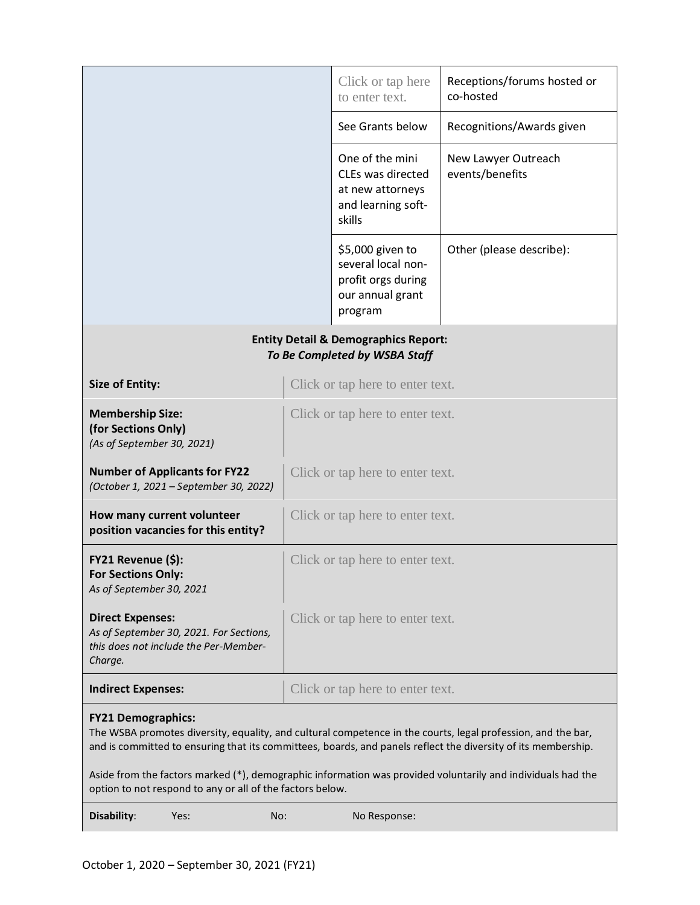|                                                                                                                                                                                                                                                            |                                                                                  |                                                                                          | Click or tap here<br>to enter text.                                                         | Receptions/forums hosted or<br>co-hosted |  |  |  |
|------------------------------------------------------------------------------------------------------------------------------------------------------------------------------------------------------------------------------------------------------------|----------------------------------------------------------------------------------|------------------------------------------------------------------------------------------|---------------------------------------------------------------------------------------------|------------------------------------------|--|--|--|
|                                                                                                                                                                                                                                                            |                                                                                  | See Grants below                                                                         | Recognitions/Awards given                                                                   |                                          |  |  |  |
|                                                                                                                                                                                                                                                            |                                                                                  | One of the mini<br>CLEs was directed<br>at new attorneys<br>and learning soft-<br>skills | New Lawyer Outreach<br>events/benefits                                                      |                                          |  |  |  |
|                                                                                                                                                                                                                                                            |                                                                                  |                                                                                          | \$5,000 given to<br>several local non-<br>profit orgs during<br>our annual grant<br>program | Other (please describe):                 |  |  |  |
| <b>Entity Detail &amp; Demographics Report:</b><br>To Be Completed by WSBA Staff                                                                                                                                                                           |                                                                                  |                                                                                          |                                                                                             |                                          |  |  |  |
| <b>Size of Entity:</b>                                                                                                                                                                                                                                     |                                                                                  |                                                                                          | Click or tap here to enter text.                                                            |                                          |  |  |  |
| <b>Membership Size:</b><br>(for Sections Only)<br>(As of September 30, 2021)                                                                                                                                                                               |                                                                                  |                                                                                          | Click or tap here to enter text.                                                            |                                          |  |  |  |
|                                                                                                                                                                                                                                                            | <b>Number of Applicants for FY22</b><br>(October 1, 2021 - September 30, 2022)   |                                                                                          | Click or tap here to enter text.                                                            |                                          |  |  |  |
| How many current volunteer                                                                                                                                                                                                                                 | position vacancies for this entity?                                              |                                                                                          | Click or tap here to enter text.                                                            |                                          |  |  |  |
| FY21 Revenue (\$):<br><b>For Sections Only:</b><br>As of September 30, 2021                                                                                                                                                                                |                                                                                  |                                                                                          | Click or tap here to enter text.                                                            |                                          |  |  |  |
| <b>Direct Expenses:</b><br>Charge.                                                                                                                                                                                                                         | As of September 30, 2021. For Sections,<br>this does not include the Per-Member- |                                                                                          | Click or tap here to enter text.                                                            |                                          |  |  |  |
| <b>Indirect Expenses:</b>                                                                                                                                                                                                                                  |                                                                                  |                                                                                          | Click or tap here to enter text.                                                            |                                          |  |  |  |
| <b>FY21 Demographics:</b><br>The WSBA promotes diversity, equality, and cultural competence in the courts, legal profession, and the bar,<br>and is committed to ensuring that its committees, boards, and panels reflect the diversity of its membership. |                                                                                  |                                                                                          |                                                                                             |                                          |  |  |  |
| Aside from the factors marked (*), demographic information was provided voluntarily and individuals had the<br>option to not respond to any or all of the factors below.                                                                                   |                                                                                  |                                                                                          |                                                                                             |                                          |  |  |  |
| Disability:                                                                                                                                                                                                                                                | Yes:                                                                             | No:                                                                                      | No Response:                                                                                |                                          |  |  |  |